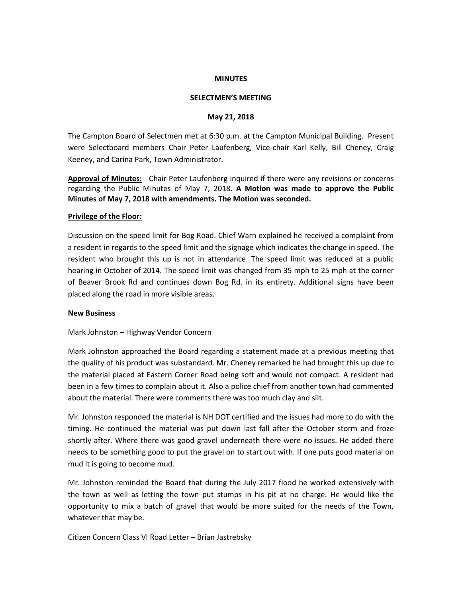#### **MINUTES**

#### **SELECTMEN'S MEETING**

#### **May 21, 2018**

The Campton Board of Selectmen met at 6:30 p.m. at the Campton Municipal Building. Present were Selectboard members Chair Peter Laufenberg, Vice-chair Karl Kelly, Bill Cheney, Craig Keeney, and Carina Park, Town Administrator.

**Approval of Minutes:** Chair Peter Laufenberg inquired if there were any revisions or concerns regarding the Public Minutes of May 7, 2018. **A Motion was made to approve the Public Minutes of May 7, 2018 with amendments. The Motion was seconded.** 

#### **Privilege of the Floor:**

Discussion on the speed limit for Bog Road. Chief Warn explained he received a complaint from a resident in regards to the speed limit and the signage which indicates the change in speed. The resident who brought this up is not in attendance. The speed limit was reduced at a public hearing in October of 2014. The speed limit was changed from 35 mph to 25 mph at the corner of Beaver Brook Rd and continues down Bog Rd. in its entirety. Additional signs have been placed along the road in more visible areas.

#### **New Business**

## Mark Johnston – Highway Vendor Concern

Mark Johnston approached the Board regarding a statement made at a previous meeting that the quality of his product was substandard. Mr. Cheney remarked he had brought this up due to the material placed at Eastern Corner Road being soft and would not compact. A resident had been in a few times to complain about it. Also a police chief from another town had commented about the material. There were comments there was too much clay and silt.

Mr. Johnston responded the material is NH DOT certified and the issues had more to do with the timing. He continued the material was put down last fall after the October storm and froze shortly after. Where there was good gravel underneath there were no issues. He added there needs to be something good to put the gravel on to start out with. If one puts good material on mud it is going to become mud.

Mr. Johnston reminded the Board that during the July 2017 flood he worked extensively with the town as well as letting the town put stumps in his pit at no charge. He would like the opportunity to mix a batch of gravel that would be more suited for the needs of the Town, whatever that may be.

Citizen Concern Class VI Road Letter – Brian Jastrebsky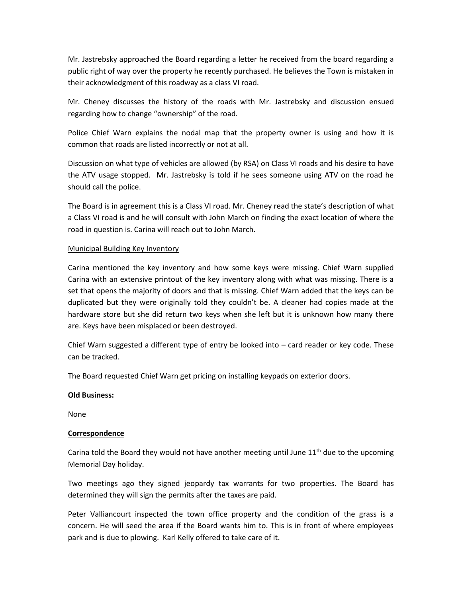Mr. Jastrebsky approached the Board regarding a letter he received from the board regarding a public right of way over the property he recently purchased. He believes the Town is mistaken in their acknowledgment of this roadway as a class VI road.

Mr. Cheney discusses the history of the roads with Mr. Jastrebsky and discussion ensued regarding how to change "ownership" of the road.

Police Chief Warn explains the nodal map that the property owner is using and how it is common that roads are listed incorrectly or not at all.

Discussion on what type of vehicles are allowed (by RSA) on Class VI roads and his desire to have the ATV usage stopped. Mr. Jastrebsky is told if he sees someone using ATV on the road he should call the police.

The Board is in agreement this is a Class VI road. Mr. Cheney read the state's description of what a Class VI road is and he will consult with John March on finding the exact location of where the road in question is. Carina will reach out to John March.

## Municipal Building Key Inventory

Carina mentioned the key inventory and how some keys were missing. Chief Warn supplied Carina with an extensive printout of the key inventory along with what was missing. There is a set that opens the majority of doors and that is missing. Chief Warn added that the keys can be duplicated but they were originally told they couldn't be. A cleaner had copies made at the hardware store but she did return two keys when she left but it is unknown how many there are. Keys have been misplaced or been destroyed.

Chief Warn suggested a different type of entry be looked into – card reader or key code. These can be tracked.

The Board requested Chief Warn get pricing on installing keypads on exterior doors.

## **Old Business:**

None

## **Correspondence**

Carina told the Board they would not have another meeting until June  $11<sup>th</sup>$  due to the upcoming Memorial Day holiday.

Two meetings ago they signed jeopardy tax warrants for two properties. The Board has determined they will sign the permits after the taxes are paid.

Peter Valliancourt inspected the town office property and the condition of the grass is a concern. He will seed the area if the Board wants him to. This is in front of where employees park and is due to plowing. Karl Kelly offered to take care of it.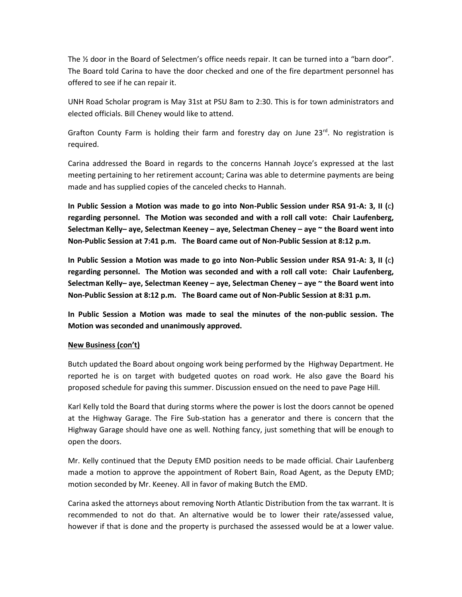The ½ door in the Board of Selectmen's office needs repair. It can be turned into a "barn door". The Board told Carina to have the door checked and one of the fire department personnel has offered to see if he can repair it.

UNH Road Scholar program is May 31st at PSU 8am to 2:30. This is for town administrators and elected officials. Bill Cheney would like to attend.

Grafton County Farm is holding their farm and forestry day on June  $23^{rd}$ . No registration is required.

Carina addressed the Board in regards to the concerns Hannah Joyce's expressed at the last meeting pertaining to her retirement account; Carina was able to determine payments are being made and has supplied copies of the canceled checks to Hannah.

**In Public Session a Motion was made to go into Non-Public Session under RSA 91-A: 3, II (**c**) regarding personnel. The Motion was seconded and with a roll call vote: Chair Laufenberg, Selectman Kelly– aye, Selectman Keeney – aye, Selectman Cheney – aye ~ the Board went into Non-Public Session at 7:41 p.m. The Board came out of Non-Public Session at 8:12 p.m.**

**In Public Session a Motion was made to go into Non-Public Session under RSA 91-A: 3, II (**c**) regarding personnel. The Motion was seconded and with a roll call vote: Chair Laufenberg, Selectman Kelly– aye, Selectman Keeney – aye, Selectman Cheney – aye ~ the Board went into Non-Public Session at 8:12 p.m. The Board came out of Non-Public Session at 8:31 p.m.**

**In Public Session a Motion was made to seal the minutes of the non-public session. The Motion was seconded and unanimously approved.** 

## **New Business (con't)**

Butch updated the Board about ongoing work being performed by the Highway Department. He reported he is on target with budgeted quotes on road work. He also gave the Board his proposed schedule for paving this summer. Discussion ensued on the need to pave Page Hill.

Karl Kelly told the Board that during storms where the power is lost the doors cannot be opened at the Highway Garage. The Fire Sub-station has a generator and there is concern that the Highway Garage should have one as well. Nothing fancy, just something that will be enough to open the doors.

Mr. Kelly continued that the Deputy EMD position needs to be made official. Chair Laufenberg made a motion to approve the appointment of Robert Bain, Road Agent, as the Deputy EMD; motion seconded by Mr. Keeney. All in favor of making Butch the EMD.

Carina asked the attorneys about removing North Atlantic Distribution from the tax warrant. It is recommended to not do that. An alternative would be to lower their rate/assessed value, however if that is done and the property is purchased the assessed would be at a lower value.